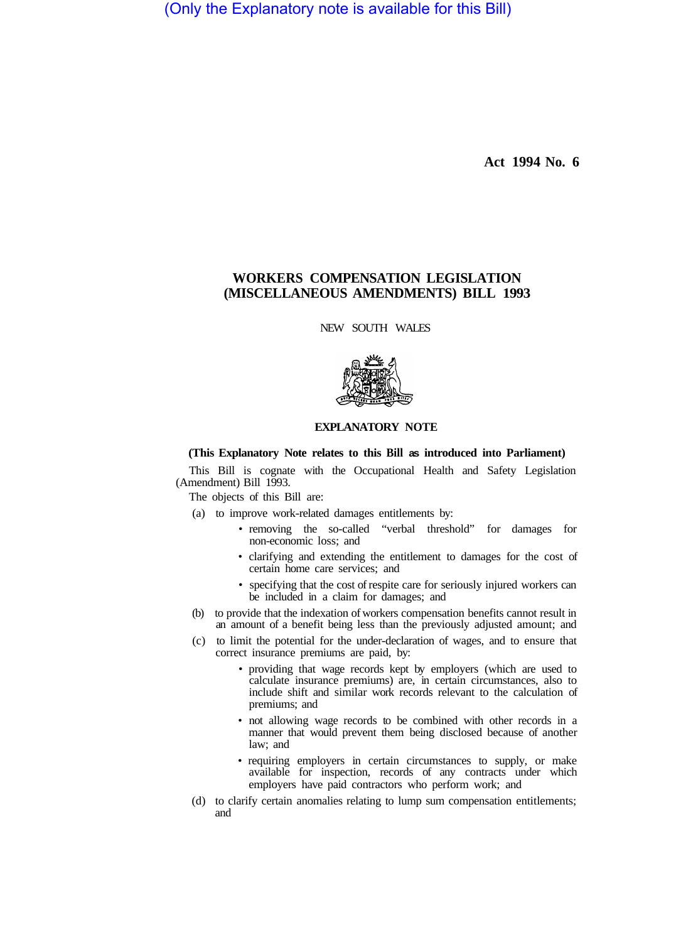(Only the Explanatory note is available for this Bill)

**Act 1994 No. 6** 

## **WORKERS COMPENSATION LEGISLATION (MISCELLANEOUS AMENDMENTS) BILL 1993**

NEW SOUTH WALES



## **EXPLANATORY NOTE**

## **(This Explanatory Note relates to this Bill as introduced into Parliament)**

This Bill is cognate with the Occupational Health and Safety Legislation (Amendment) Bill 1993.

The objects of this Bill are:

- (a) to improve work-related damages entitlements by:
	- removing the so-called "verbal threshold" for damages for non-economic loss; and
	- clarifying and extending the entitlement to damages for the cost of certain home care services; and
	- specifying that the cost of respite care for seriously injured workers can be included in a claim for damages; and
- (b) to provide that the indexation of workers compensation benefits cannot result in an amount of a benefit being less than the previously adjusted amount; and
- (c) to limit the potential for the under-declaration of wages, and to ensure that correct insurance premiums are paid, by:
	- providing that wage records kept by employers (which are used to calculate insurance premiums) are, in certain circumstances, also to include shift and similar work records relevant to the calculation of premiums; and
	- not allowing wage records to be combined with other records in a manner that would prevent them being disclosed because of another law; and
	- requiring employers in certain circumstances to supply, or make available for inspection, records of any contracts under which employers have paid contractors who perform work; and
- (d) to clarify certain anomalies relating to lump sum compensation entitlements; and